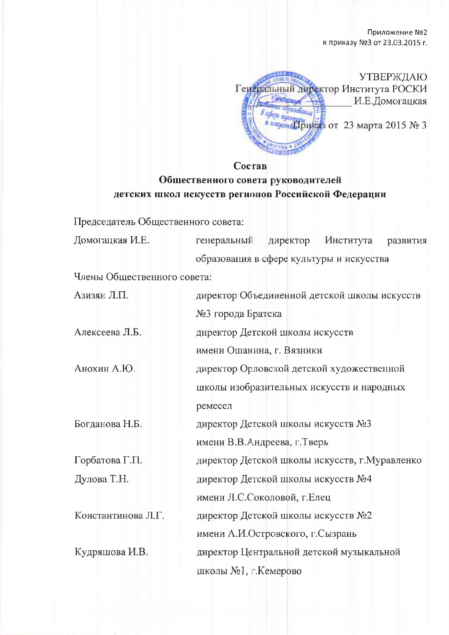Приложение №2 к приказу №3 от 23.03.2015 г.

**WEIGHTO УТВЕРЖДАЮ** Генеральный директор Института РОСКИ И.Е.Домогацкая пазования the auteur a ungrems [pulsas or 23 Mapra 2015 No 3 **NY 08** 

Состав

## Общественного совета руководителей детских школ искусств регионов Российской Федерации

Председатель Общественного совета:

| Домогацкая И.Е.             | генеральный                                    | директор | Института | развития |
|-----------------------------|------------------------------------------------|----------|-----------|----------|
|                             | образования в сфере культуры и искусства       |          |           |          |
| Члены Общественного совета: |                                                |          |           |          |
| Азизян Л.П.                 | директор Объединенной детской школы искусств   |          |           |          |
|                             | №3 города Братска                              |          |           |          |
| Алексеева Л.Б.              | директор Детской школы искусств                |          |           |          |
|                             | имени Ошанина, г. Вязники                      |          |           |          |
| Анохин А.Ю.                 | директор Орловской детской художественной      |          |           |          |
|                             | школы изобразительных искусств и народных      |          |           |          |
|                             | ремесел                                        |          |           |          |
| Богданова Н.Б.              | директор Детской школы искусств №3             |          |           |          |
|                             | имени В.В.Андреева, г.Тверь                    |          |           |          |
| Горбатова Г.П.              | директор Детской школы искусств, г. Муравленко |          |           |          |
| Дулова Т.Н.                 | директор Детской школы искусств №4             |          |           |          |
|                             | имени Л.С.Соколовой, г.Елец                    |          |           |          |
| Константинова Л.Г.          | директор Детской школы искусств №2             |          |           |          |
|                             | имени А.И.Островского, г.Сызрань               |          |           |          |
| Кудряшова И.В.              | директор Центральной детской музыкальной       |          |           |          |
|                             | школы №1, г.Кемерово                           |          |           |          |